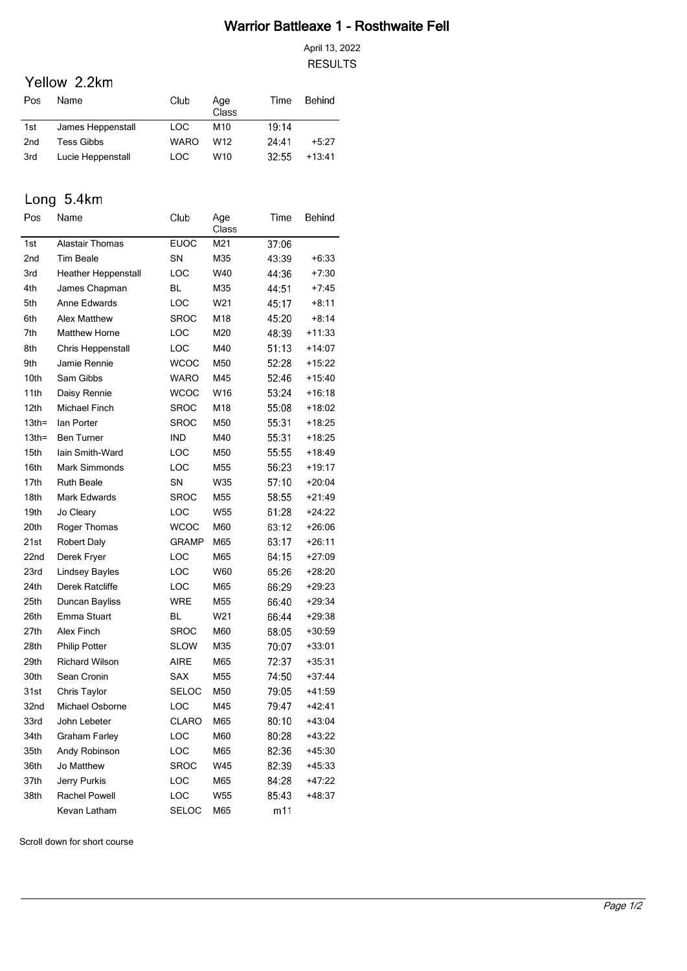## Warrior Battleaxe 1 - Rosthwaite Fell

April 13, 2022 **RESULTS** 

## Yellow 2.2km

| Pos | Name              | Club        | Age<br>Class    | Time   | Behind   |
|-----|-------------------|-------------|-----------------|--------|----------|
| 1st | James Heppenstall | LOC.        | M <sub>10</sub> | 19:14  |          |
| 2nd | Tess Gibbs        | <b>WARO</b> | W <sub>12</sub> | 24.41  | $+5.27$  |
| 3rd | Lucie Heppenstall | <b>LOC</b>  | W10             | -32.55 | $+13.41$ |

# Long 5.4km

| Pos              | Name                       | Club         | Age<br>Class | Time  | Behind   |
|------------------|----------------------------|--------------|--------------|-------|----------|
| 1st              | <b>Alastair Thomas</b>     | <b>EUOC</b>  | M21          | 37:06 |          |
| 2nd              | <b>Tim Beale</b>           | SN           | M35          | 43:39 | $+6:33$  |
| 3rd              | <b>Heather Heppenstall</b> | LOC          | W40          | 44:36 | $+7:30$  |
| 4th              | James Chapman              | <b>BL</b>    | M35          | 44:51 | $+7:45$  |
| 5th              | Anne Edwards               | LOC          | W21          | 45:17 | $+8:11$  |
| 6th              | <b>Alex Matthew</b>        | <b>SROC</b>  | M18          | 45:20 | $+8:14$  |
| 7th              | <b>Matthew Horne</b>       | LOC          | M20          | 48:39 | $+11:33$ |
| 8th              | Chris Heppenstall          | LOC          | M40          | 51:13 | $+14:07$ |
| 9th              | Jamie Rennie               | <b>WCOC</b>  | M50          | 52:28 | $+15:22$ |
| 10th             | Sam Gibbs                  | WARO         | M45          | 52.46 | $+15:40$ |
| 11th             | Daisy Rennie               | <b>WCOC</b>  | W16          | 53:24 | $+16:18$ |
| 12th             | Michael Finch              | <b>SROC</b>  | M18          | 55:08 | $+18:02$ |
| 13 <sub>th</sub> | Ian Porter                 | <b>SROC</b>  | M50          | 55.31 | $+18:25$ |
| 13 <sub>th</sub> | <b>Ben Turner</b>          | <b>IND</b>   | M40          | 55.31 | $+18:25$ |
| 15th             | Iain Smith-Ward            | LOC          | M50          | 55:55 | $+18:49$ |
| 16th             | Mark Simmonds              | LOC          | M55          | 56:23 | $+19:17$ |
| 17th             | <b>Ruth Beale</b>          | SN           | W35          | 57:10 | $+20:04$ |
| 18th             | <b>Mark Edwards</b>        | SROC         | M55          | 58:55 | $+21:49$ |
| 19th             | Jo Cleary                  | LOC          | W55          | 61:28 | $+24:22$ |
| 20th             | Roger Thomas               | <b>WCOC</b>  | M60          | 63.12 | $+26:06$ |
| 21st             | <b>Robert Daly</b>         | <b>GRAMP</b> | M65          | 63:17 | $+26:11$ |
| 22nd             | Derek Fryer                | LOC          | M65          | 64.15 | $+27:09$ |
| 23rd             | <b>Lindsey Bayles</b>      | LOC          | W60          | 65:26 | $+28:20$ |
| 24th             | Derek Ratcliffe            | LOC          | M65          | 66.29 | $+29:23$ |
| 25th             | Duncan Bayliss             | <b>WRE</b>   | M55          | 66:40 | $+29:34$ |
| 26th             | Emma Stuart                | BL           | W21          | 66:44 | $+29:38$ |
| 27th             | <b>Alex Finch</b>          | <b>SROC</b>  | M60          | 68:05 | $+30:59$ |
| 28th             | <b>Philip Potter</b>       | <b>SLOW</b>  | M35          | 70:07 | $+33:01$ |
| 29th             | <b>Richard Wilson</b>      | <b>AIRE</b>  | M65          | 72:37 | $+35:31$ |
| 30th             | Sean Cronin                | <b>SAX</b>   | M55          | 74:50 | $+37:44$ |
| 31st             | Chris Taylor               | <b>SELOC</b> | M50          | 79:05 | +41:59   |
| 32nd             | Michael Osborne            | LOC          | M45          | 79.47 | $+42:41$ |
| 33rd             | John Lebeter               | <b>CLARO</b> | M65          | 80:10 | $+43:04$ |
| 34th             | Graham Farley              | LOC          | M60          | 80:28 | $+43.22$ |
| 35th             | Andy Robinson              | LOC          | M65          | 82:36 | $+45:30$ |
| 36th             | Jo Matthew                 | SROC         | W45          | 82:39 | $+45:33$ |
| 37th             | Jerry Purkis               | LOC          | M65          | 84:28 | $+47:22$ |
| 38th             | <b>Rachel Powell</b>       | LOC          | W55          | 85.43 | +48:37   |
|                  | Kevan Latham               | SELOC        | M65          | m11   |          |

Scroll down for short course